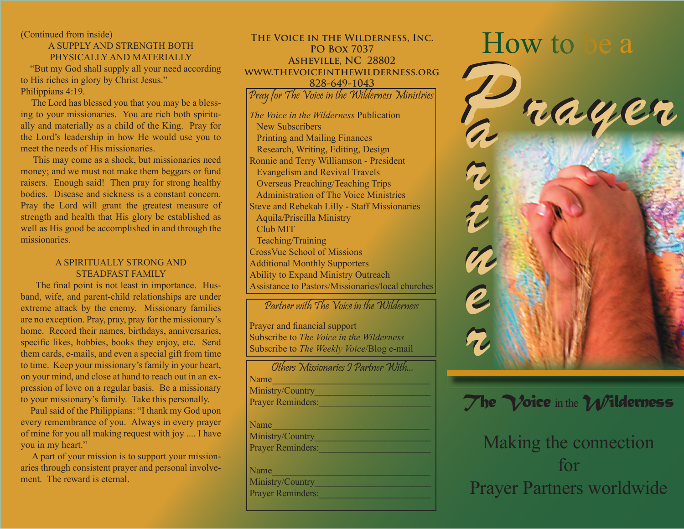(Continued from inside)

#### A SUPPLY AND STRENGTH BOTH PHYSICALLY AND MATERIALLY

 "But my God shall supply all your need according to His riches in glory by Christ Jesus." Philippians 4:19.

 The Lord has blessed you that you may be a blessing to your missionaries. You are rich both spiritually and materially as a child of the King. Pray for the Lord's leadership in how He would use you to meet the needs of His missionaries.

 This may come as a shock, but missionaries need money; and we must not make them beggars or fund raisers. Enough said! Then pray for strong healthy bodies. Disease and sickness is a constant concern. Pray the Lord will grant the greatest measure of strength and health that His glory be established as well as His good be accomplished in and through the missionaries.

#### A SPIRITUALLY STRONG AND STEADFAST FAMILY

The final point is not least in importance. Husband, wife, and parent-child relationships are under extreme attack by the enemy. Missionary families are no exception. Pray, pray, pray for the missionary's home. Record their names, birthdays, anniversaries, specific likes, hobbies, books they enjoy, etc. Send them cards, e-mails, and even a special gift from time to time. Keep your missionary's family in your heart, on your mind, and close at hand to reach out in an expression of love on a regular basis. Be a missionary to your missionary's family. Take this personally.

 Paul said of the Philippians: "I thank my God upon every remembrance of you. Always in every prayer of mine for you all making request with joy .... I have you in my heart."

 A part of your mission is to support your missionaries through consistent prayer and personal involvement. The reward is eternal.

THE VOICE IN THE WILDERNESS, INC.<br>PO BOX 7037 **PO Box 7037 Asheville, NC 28802 www.thevoiceinthewilderness.org 828-649-1043**

Pray for The Voice in the Wilderness Ministries

*The Voice in the Wilderness* Publication New Subscribers Printing and Mailing Finances Research, Writing, Editing, Design Ronnie and Terry Williamson - President Evangelism and Revival Travels Overseas Preaching/Teaching Trips Administration of The Voice Ministries Steve and Rebekah Lilly - Staff Missionaries Aquila/Priscilla Ministry Club MIT Teaching/Training CrossVue School of Missions Additional Monthly Supporters Ability to Expand Ministry Outreach Assistance to Pastors/Missionaries/local churches

### Partner with The Voice in the Wilderness

Prayer and financial support Subscribe to *The Voice in the Wilderness* Subscribe to *The Weekly Voice*/Blog e-mail



## *The Voice* in the *Wilderness*

# Making the connection for Prayer Partners worldwide